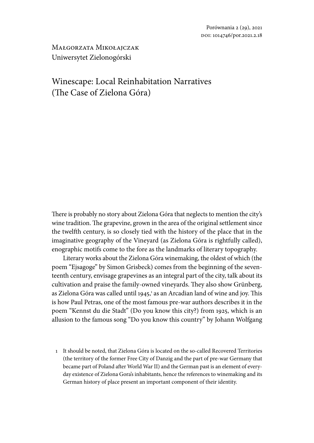Małgorzata Mikołajczak Uniwersytet Zielonogórski

# Winescape: Local Reinhabitation Narratives (The Case of Zielona Góra)

There is probably no story about Zielona Góra that neglects to mention the city's wine tradition. The grapevine, grown in the area of the original settlement since the twelfth century, is so closely tied with the history of the place that in the imaginative geography of the Vineyard (as Zielona Góra is rightfully called), enographic motifs come to the fore as the landmarks of literary topography.

Literary works about the Zielona Góra winemaking, the oldest of which (the poem "Ejsagoge" by Simon Grisbeck) comes from the beginning of the seventeenth century, envisage grapevines as an integral part of the city, talk about its cultivation and praise the family-owned vineyards. They also show Grünberg, as Zielona Góra was called until 1945,<sup>1</sup> as an Arcadian land of wine and joy. This is how Paul Petras, one of the most famous pre-war authors describes it in the poem "Kennst du die Stadt" (Do you know this city?) from 1925, which is an allusion to the famous song "Do you know this country" by Johann Wolfgang

1 It should be noted, that Zielona Góra is located on the so-called Recovered Territories (the territory of the former Free City of Danzig and the part of pre-war Germany that became part of Poland after World War II) and the German past is an element of everyday existence of Zielona Gora's inhabitants, hence the references to winemaking and its German history of place present an important component of their identity.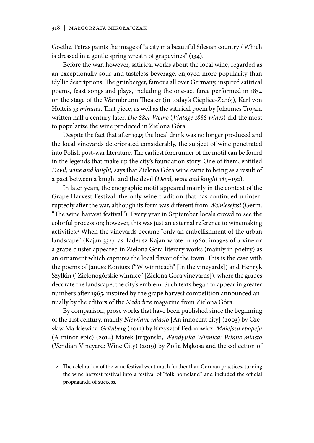Goethe. Petras paints the image of "a city in a beautiful Silesian country / Which is dressed in a gentle spring wreath of grapevines" (134).

Before the war, however, satirical works about the local wine, regarded as an exceptionally sour and tasteless beverage, enjoyed more popularity than idyllic descriptions. The grünberger, famous all over Germany, inspired satirical poems, feast songs and plays, including the one-act farce performed in 1834 on the stage of the Warmbrunn Theater (in today's Cieplice-Zdrój), Karl von Holtei's *33 minutes*. That piece, as well as the satirical poem by Johannes Trojan, written half a century later, *Die 88er Weine* (*Vintage 1888 wines*) did the most to popularize the wine produced in Zielona Góra.

Despite the fact that after 1945 the local drink was no longer produced and the local vineyards deteriorated considerably, the subject of wine penetrated into Polish post-war literature. The earliest forerunner of the motif can be found in the legends that make up the city's foundation story. One of them, entitled *Devil, wine and knight,* says that Zielona Góra wine came to being as a result of a pact between a knight and the devil (*Devil, wine and knight* 189–192).

In later years, the enographic motif appeared mainly in the context of the Grape Harvest Festival, the only wine tradition that has continued uninterruptedly after the war, although its form was different from *Weinlesefest* (Germ. "The wine harvest festival"). Every year in September locals crowd to see the colorful procession; however, this was just an external reference to winemaking activities.2 When the vineyards became "only an embellishment of the urban landscape" (Kajan 332), as Tadeusz Kajan wrote in 1960, images of a vine or a grape cluster appeared in Zielona Góra literary works (mainly in poetry) as an ornament which captures the local flavor of the town. This is the case with the poems of Janusz Koniusz ("W winnicach" [In the vineyards]) and Henryk Szylkin ("Zielonogórskie winnice" [Zielona Góra vineyards])*,* where the grapes decorate the landscape, the city's emblem. Such texts began to appear in greater numbers after 1965, inspired by the grape harvest competition announced annually by the editors of the *Nadodrze* magazine from Zielona Góra.

By comparison, prose works that have been published since the beginning of the 21st century, mainly *Niewinne miasto* [An innocent city] (2003) by Czesław Markiewicz, *Grünberg* (2012) by Krzysztof Fedorowicz, *Mniejsza epopeja* (A minor epic) (2014) Marek Jurgoński, *Wendyjska Winnica: Winne miasto*  (Vendian Vineyard: Wine City) (2019) by Zofia Mąkosa and the collection of

<sup>2</sup> The celebration of the wine festival went much further than German practices, turning the wine harvest festival into a festival of "folk homeland" and included the official propaganda of success.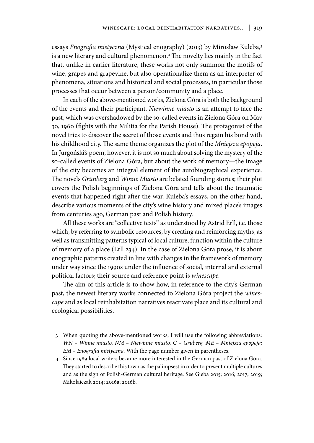essays *Enografia mistyczna* (Mystical enography) (2013) by Mirosław Kuleba,3 is a new literary and cultural phenomenon.4 The novelty lies mainly in the fact that, unlike in earlier literature, these works not only summon the motifs of wine, grapes and grapevine, but also operationalize them as an interpreter of phenomena, situations and historical and social processes, in particular those processes that occur between a person/community and a place.

In each of the above-mentioned works, Zielona Góra is both the background of the events and their participant. *Niewinne miasto* is an attempt to face the past, which was overshadowed by the so-called events in Zielona Góra on May 30, 1960 (fights with the Militia for the Parish House). The protagonist of the novel tries to discover the secret of those events and thus regain his bond with his childhood city. The same theme organizes the plot of the *Mniejsza epopeja*. In Jurgoński's poem, however, it is not so much about solving the mystery of the so-called events of Zielona Góra, but about the work of memory—the image of the city becomes an integral element of the autobiographical experience. The novels *Grünberg* and *Winne Miasto* are belated founding stories; their plot covers the Polish beginnings of Zielona Góra and tells about the traumatic events that happened right after the war. Kuleba's essays, on the other hand, describe various moments of the city's wine history and mixed place's images from centuries ago, German past and Polish history.

All these works are "collective texts" as understood by Astrid Erll, i.e. those which, by referring to symbolic resources, by creating and reinforcing myths, as well as transmitting patterns typical of local culture, function within the culture of memory of a place (Erll 234). In the case of Zielona Góra prose, it is about enographic patterns created in line with changes in the framework of memory under way since the 1990s under the influence of social, internal and external political factors; their source and reference point is *winescape.*

The aim of this article is to show how, in reference to the city's German past, the newest literary works connected to Zielona Góra project the *winescape* and as local reinhabitation narratives reactivate place and its cultural and ecological possibilities.

- 3 When quoting the above-mentioned works, I will use the following abbreviations: *WN – Winne miasto, NM – Niewinne miasto, G – Grüberg, ME – Mniejsza epopeja; EM – Enografia mistyczna.* With the page number given in parentheses.
- 4 Since 1989 local writers became more interested in the German past of Zielona Góra. They started to describe this town as the palimpsest in order to present multiple cultures and as the sign of Polish-German cultural heritage. See Gieba 2015; 2016; 2017; 2019; Mikołajczak 2014; 2016a; 2016b.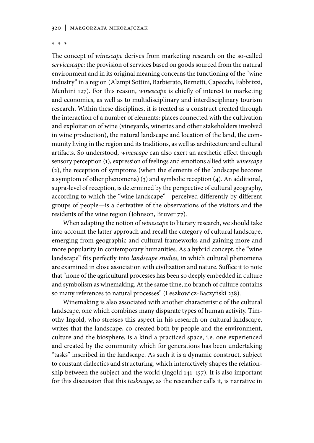#### 320 | Małgorzata Mikołajczak

**\* \* \***

The concept of *winescape* derives from marketing research on the so-called *servicescape*: the provision of services based on goods sourced from the natural environment and in its original meaning concerns the functioning of the "wine industry" in a region (Alampi Sottini, Barbierato, Bernetti, Capecchi, Fabbrizzi, Menhini 127). For this reason, *winescape* is chiefly of interest to marketing and economics, as well as to multidisciplinary and interdisciplinary tourism research. Within these disciplines, it is treated as a construct created through the interaction of a number of elements: places connected with the cultivation and exploitation of wine (vineyards, wineries and other stakeholders involved in wine production), the natural landscape and location of the land, the community living in the region and its traditions, as well as architecture and cultural artifacts. So understood, *winescape* can also exert an aesthetic effect through sensory perception (1), expression of feelings and emotions allied with *winescape* (2), the reception of symptoms (when the elements of the landscape become a symptom of other phenomena) (3) and symbolic reception (4). An additional, supra-level of reception, is determined by the perspective of cultural geography, according to which the "wine landscape"—perceived differently by different groups of people—is a derivative of the observations of the visitors and the residents of the wine region (Johnson, Bruver 77).

When adapting the notion of *winescape* to literary research, we should take into account the latter approach and recall the category of cultural landscape, emerging from geographic and cultural frameworks and gaining more and more popularity in contemporary humanities. As a hybrid concept, the "wine landscape" fits perfectly into *landscape studies,* in which cultural phenomena are examined in close association with civilization and nature. Suffice it to note that "none of the agricultural processes has been so deeply embedded in culture and symbolism as winemaking. At the same time, no branch of culture contains so many references to natural processes" (Leszkowicz-Baczyński 238).

Winemaking is also associated with another characteristic of the cultural landscape, one which combines many disparate types of human activity. Timothy Ingold, who stresses this aspect in his research on cultural landscape, writes that the landscape, co-created both by people and the environment, culture and the biosphere, is a kind a practiced space, i.e. one experienced and created by the community which for generations has been undertaking "tasks" inscribed in the landscape. As such it is a dynamic construct, subject to constant dialectics and structuring, which interactively shapes the relationship between the subject and the world (Ingold 141–157). It is also important for this discussion that this *taskscape,* as the researcher calls it, is narrative in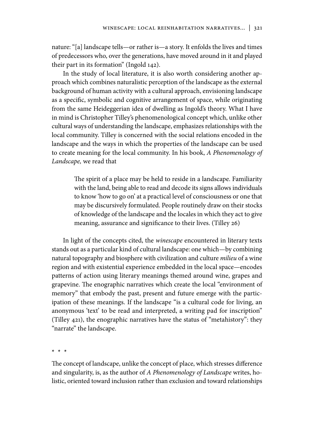nature: "[a] landscape tells—or rather is—a story. It enfolds the lives and times of predecessors who, over the generations, have moved around in it and played their part in its formation" (Ingold 142).

In the study of local literature, it is also worth considering another approach which combines naturalistic perception of the landscape as the external background of human activity with a cultural approach, envisioning landscape as a specific, symbolic and cognitive arrangement of space, while originating from the same Heideggerian idea of dwelling as Ingold's theory. What I have in mind is Christopher Tilley's phenomenological concept which, unlike other cultural ways of understanding the landscape, emphasizes relationships with the local community. Tilley is concerned with the social relations encoded in the landscape and the ways in which the properties of the landscape can be used to create meaning for the local community. In his book, *A Phenomenology of Landscape,* we read that

> The spirit of a place may be held to reside in a landscape. Familiarity with the land, being able to read and decode its signs allows individuals to know 'how to go on' at a practical level of consciousness or one that may be discursively formulated. People routinely draw on their stocks of knowledge of the landscape and the locales in which they act to give meaning, assurance and significance to their lives. (Tilley 26)

In light of the concepts cited, the *winescape* encountered in literary texts stands out as a particular kind of cultural landscape: one which—by combining natural topography and biosphere with civilization and culture *milieu* of a wine region and with existential experience embedded in the local space—encodes patterns of action using literary meanings themed around wine, grapes and grapevine. The enographic narratives which create the local "environment of memory" that embody the past, present and future emerge with the participation of these meanings. If the landscape "is a cultural code for living, an anonymous 'text' to be read and interpreted, a writing pad for inscription" (Tilley 421), the enographic narratives have the status of "metahistory": they "narrate" the landscape.

**\* \* \***

The concept of landscape, unlike the concept of place, which stresses difference and singularity, is, as the author of *A Phenomenology of Landscape* writes, holistic, oriented toward inclusion rather than exclusion and toward relationships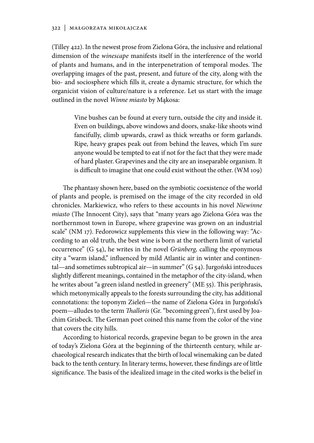(Tilley 422). In the newest prose from Zielona Góra, the inclusive and relational dimension of the *winescape* manifests itself in the interference of the world of plants and humans, and in the interpenetration of temporal modes. The overlapping images of the past, present, and future of the city, along with the bio- and sociosphere which fills it, create a dynamic structure, for which the organicist vision of culture/nature is a reference. Let us start with the image outlined in the novel *Winne miasto* by Mąkosa:

> Vine bushes can be found at every turn, outside the city and inside it. Even on buildings, above windows and doors, snake-like shoots wind fancifully, climb upwards, crawl as thick wreaths or form garlands. Ripe, heavy grapes peak out from behind the leaves, which I'm sure anyone would be tempted to eat if not for the fact that they were made of hard plaster. Grapevines and the city are an inseparable organism. It is difficult to imagine that one could exist without the other. (WM 109)

The phantasy shown here, based on the symbiotic coexistence of the world of plants and people, is premised on the image of the city recorded in old chronicles. Markiewicz, who refers to these accounts in his novel *Niewinne miasto* (The Innocent City), says that "many years ago Zielona Góra was the northernmost town in Europe, where grapevine was grown on an industrial scale" (NM 17). Fedorowicz supplements this view in the following way: "According to an old truth, the best wine is born at the northern limit of varietal occurrence" (G 54), he writes in the novel *Grünberg,* calling the eponymous city a "warm island," influenced by mild Atlantic air in winter and continental—and sometimes subtropical air—in summer" (G 54). Jurgoński introduces slightly different meanings, contained in the metaphor of the city-island, when he writes about "a green island nestled in greenery" (ME 55). This periphrasis, which metonymically appeals to the forests surrounding the city, has additional connotations: the toponym Zieleń—the name of Zielona Góra in Jurgoński's poem—alludes to the term *Thalloris* (Gr. "becoming green"), first used by Joachim Grisbeck. The German poet coined this name from the color of the vine that covers the city hills.

According to historical records, grapevine began to be grown in the area of today's Zielona Góra at the beginning of the thirteenth century, while archaeological research indicates that the birth of local winemaking can be dated back to the tenth century. In literary terms, however, these findings are of little significance. The basis of the idealized image in the cited works is the belief in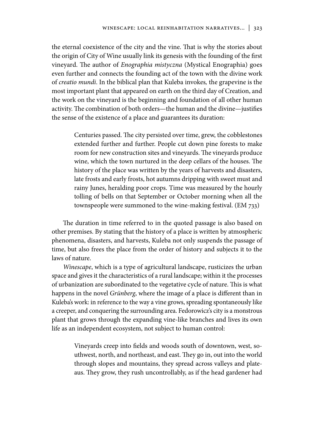the eternal coexistence of the city and the vine. That is why the stories about the origin of City of Wine usually link its genesis with the founding of the first vineyard. The author of *Enographia mistyczna* (Mystical Enographia) goes even further and connects the founding act of the town with the divine work of *creatio mundi*. In the biblical plan that Kuleba invokes*,* the grapevine is the most important plant that appeared on earth on the third day of Creation, and the work on the vineyard is the beginning and foundation of all other human activity. The combination of both orders—the human and the divine—justifies the sense of the existence of a place and guarantees its duration:

> Centuries passed. The city persisted over time, grew, the cobblestones extended further and further. People cut down pine forests to make room for new construction sites and vineyards. The vineyards produce wine, which the town nurtured in the deep cellars of the houses. The history of the place was written by the years of harvests and disasters, late frosts and early frosts, hot autumns dripping with sweet must and rainy Junes, heralding poor crops. Time was measured by the hourly tolling of bells on that September or October morning when all the townspeople were summoned to the wine-making festival. (EM 733)

The duration in time referred to in the quoted passage is also based on other premises. By stating that the history of a place is written by atmospheric phenomena, disasters, and harvests, Kuleba not only suspends the passage of time, but also frees the place from the order of history and subjects it to the laws of nature.

*Winescape*, which is a type of agricultural landscape, rusticizes the urban space and gives it the characteristics of a rural landscape; within it the processes of urbanization are subordinated to the vegetative cycle of nature. This is what happens in the novel *Grünberg*, where the image of a place is different than in Kuleba's work: in reference to the way a vine grows, spreading spontaneously like a creeper, and conquering the surrounding area. Fedorowicz's city is a monstrous plant that grows through the expanding vine-like branches and lives its own life as an independent ecosystem, not subject to human control:

> Vineyards creep into fields and woods south of downtown, west, southwest, north, and northeast, and east. They go in, out into the world through slopes and mountains, they spread across valleys and plateaus. They grow, they rush uncontrollably, as if the head gardener had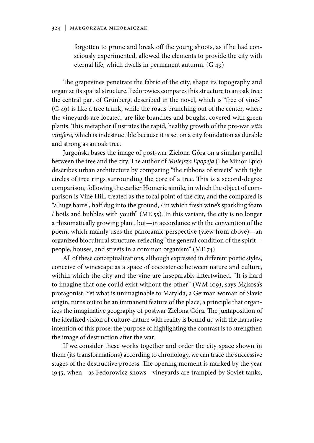forgotten to prune and break off the young shoots, as if he had consciously experimented, allowed the elements to provide the city with eternal life, which dwells in permanent autumn. (G 49)

The grapevines penetrate the fabric of the city, shape its topography and organize its spatial structure. Fedorowicz compares this structure to an oak tree: the central part of Grünberg, described in the novel, which is "free of vines" (G 49) is like a tree trunk, while the roads branching out of the center, where the vineyards are located, are like branches and boughs, covered with green plants. This metaphor illustrates the rapid, healthy growth of the pre-war *vitis vinifera*, which is indestructible because it is set on a city foundation as durable and strong as an oak tree.

Jurgoński bases the image of post-war Zielona Góra on a similar parallel between the tree and the city. The author of *Mniejsza Epopeja* (The Minor Epic) describes urban architecture by comparing "the ribbons of streets" with tight circles of tree rings surrounding the core of a tree. This is a second-degree comparison, following the earlier Homeric simile, in which the object of comparison is Vine Hill, treated as the focal point of the city, and the compared is "a huge barrel, half dug into the ground, / in which fresh wine's sparkling foam / boils and bubbles with youth" (ME 55). In this variant, the city is no longer a rhizomatically growing plant, but—in accordance with the convention of the poem, which mainly uses the panoramic perspective (view from above)—an organized biocultural structure, reflecting "the general condition of the spirit people, houses, and streets in a common organism" (ME 74).

All of these conceptualizations, although expressed in different poetic styles, conceive of winescape as a space of coexistence between nature and culture, within which the city and the vine are inseparably intertwined. "It is hard to imagine that one could exist without the other" (WM 109), says Mąkosa's protagonist. Yet what is unimaginable to Matylda, a German woman of Slavic origin, turns out to be an immanent feature of the place, a principle that organizes the imaginative geography of postwar Zielona Góra. The juxtaposition of the idealized vision of culture-nature with reality is bound up with the narrative intention of this prose: the purpose of highlighting the contrast is to strengthen the image of destruction after the war.

If we consider these works together and order the city space shown in them (its transformations) according to chronology, we can trace the successive stages of the destructive process. The opening moment is marked by the year 1945, when—as Fedorowicz shows—vineyards are trampled by Soviet tanks,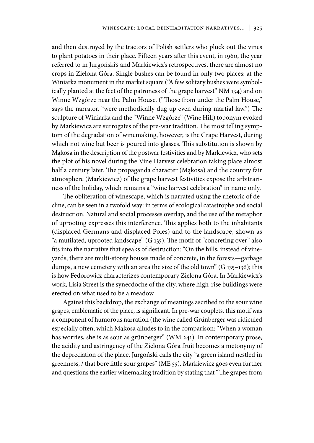and then destroyed by the tractors of Polish settlers who pluck out the vines to plant potatoes in their place. Fifteen years after this event, in 1960, the year referred to in Jurgoński's and Markiewicz's retrospectives, there are almost no crops in Zielona Góra. Single bushes can be found in only two places: at the Winiarka monument in the market square ("A few solitary bushes were symbolically planted at the feet of the patroness of the grape harvest" NM 134) and on Winne Wzgórze near the Palm House. ("Those from under the Palm House," says the narrator, "were methodically dug up even during martial law.") The sculpture of Winiarka and the "Winne Wzgórze" (Wine Hill) toponym evoked by Markiewicz are surrogates of the pre-war tradition. The most telling symptom of the degradation of winemaking, however, is the Grape Harvest, during which not wine but beer is poured into glasses. This substitution is shown by Mąkosa in the description of the postwar festivities and by Markiewicz, who sets the plot of his novel during the Vine Harvest celebration taking place almost half a century later. The propaganda character (Mąkosa) and the country fair atmosphere (Markiewicz) of the grape harvest festivities expose the arbitrariness of the holiday, which remains a "wine harvest celebration" in name only.

The obliteration of winescape, which is narrated using the rhetoric of decline, can be seen in a twofold way: in terms of ecological catastrophe and social destruction. Natural and social processes overlap, and the use of the metaphor of uprooting expresses this interference. This applies both to the inhabitants (displaced Germans and displaced Poles) and to the landscape, shown as "a mutilated, uprooted landscape" (G 135). The motif of "concreting over" also fits into the narrative that speaks of destruction: "On the hills, instead of vineyards, there are multi-storey houses made of concrete, in the forests—garbage dumps, a new cemetery with an area the size of the old town" (G 135–136); this is how Fedorowicz characterizes contemporary Zielona Góra. In Markiewicz's work, Lisia Street is the synecdoche of the city, where high-rise buildings were erected on what used to be a meadow.

Against this backdrop, the exchange of meanings ascribed to the sour wine grapes, emblematic of the place, is significant. In pre-war couplets, this motif was a component of humorous narration (the wine called Grünberger was ridiculed especially often, which Mąkosa alludes to in the comparison: "When a woman has worries, she is as sour as grünberger" (WM 241). In contemporary prose, the acidity and astringency of the Zielona Góra fruit becomes a metonymy of the depreciation of the place. Jurgoński calls the city "a green island nestled in greenness, / that bore little sour grapes" (ME 55). Markiewicz goes even further and questions the earlier winemaking tradition by stating that "The grapes from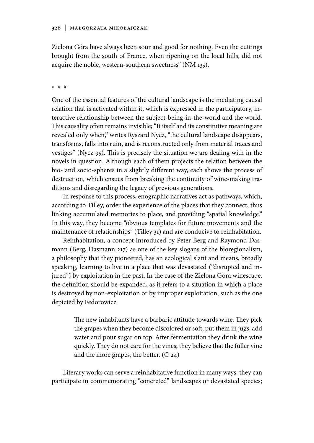Zielona Góra have always been sour and good for nothing. Even the cuttings brought from the south of France, when ripening on the local hills, did not acquire the noble, western-southern sweetness" (NM 135).

#### **\* \* \***

One of the essential features of the cultural landscape is the mediating causal relation that is activated within it, which is expressed in the participatory, interactive relationship between the subject-being-in-the-world and the world. This causality often remains invisible; "It itself and its constitutive meaning are revealed only when," writes Ryszard Nycz, "the cultural landscape disappears, transforms, falls into ruin, and is reconstructed only from material traces and vestiges" (Nycz 95). This is precisely the situation we are dealing with in the novels in question. Although each of them projects the relation between the bio- and socio-spheres in a slightly different way, each shows the process of destruction, which ensues from breaking the continuity of wine-making traditions and disregarding the legacy of previous generations.

In response to this process, enographic narratives act as pathways, which, according to Tilley, order the experience of the places that they connect, thus linking accumulated memories to place, and providing "spatial knowledge." In this way, they become "obvious templates for future movements and the maintenance of relationships" (Tilley 31) and are conducive to reinhabitation.

Reinhabitation, a concept introduced by Peter Berg and Raymond Dasmann (Berg, Dasmann 217) as one of the key slogans of the bioregionalism, a philosophy that they pioneered, has an ecological slant and means, broadly speaking, learning to live in a place that was devastated ("disrupted and injured") by exploitation in the past. In the case of the Zielona Góra winescape, the definition should be expanded, as it refers to a situation in which a place is destroyed by non-exploitation or by improper exploitation, such as the one depicted by Fedorowicz:

> The new inhabitants have a barbaric attitude towards wine. They pick the grapes when they become discolored or soft, put them in jugs, add water and pour sugar on top. After fermentation they drink the wine quickly. They do not care for the vines; they believe that the fuller vine and the more grapes, the better. (G 24)

Literary works can serve a reinhabitative function in many ways: they can participate in commemorating "concreted" landscapes or devastated species;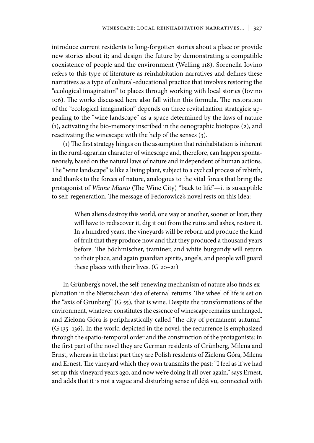introduce current residents to long-forgotten stories about a place or provide new stories about it; and design the future by demonstrating a compatible coexistence of people and the environment (Welling 118). Sorenella Iovino refers to this type of literature as reinhabitation narratives and defines these narratives as a type of cultural-educational practice that involves restoring the "ecological imagination" to places through working with local stories (Iovino 106). The works discussed here also fall within this formula. The restoration of the "ecological imagination" depends on three revitalization strategies: appealing to the "wine landscape" as a space determined by the laws of nature (1), activating the bio-memory inscribed in the oenographic biotopos (2), and reactivating the winescape with the help of the senses (3).

(1) The first strategy hinges on the assumption that reinhabitation is inherent in the rural-agrarian character of winescape and, therefore, can happen spontaneously, based on the natural laws of nature and independent of human actions. The "wine landscape" is like a living plant, subject to a cyclical process of rebirth, and thanks to the forces of nature, analogous to the vital forces that bring the protagonist of *Winne Miasto* (The Wine City) "back to life"—it is susceptible to self-regeneration. The message of Fedorowicz's novel rests on this idea:

> When aliens destroy this world, one way or another, sooner or later, they will have to rediscover it, dig it out from the ruins and ashes, restore it. In a hundred years, the vineyards will be reborn and produce the kind of fruit that they produce now and that they produced a thousand years before. The böchmischer, traminer, and white burgundy will return to their place, and again guardian spirits, angels, and people will guard these places with their lives. (G 20–21)

In Grünberg's novel, the self-renewing mechanism of nature also finds explanation in the Nietzschean idea of eternal returns. The wheel of life is set on the "axis of Grünberg" (G 55), that is wine. Despite the transformations of the environment, whatever constitutes the essence of winescape remains unchanged, and Zielona Góra is periphrastically called "the city of permanent autumn" (G 135–136). In the world depicted in the novel, the recurrence is emphasized through the spatio-temporal order and the construction of the protagonists: in the first part of the novel they are German residents of Grünberg, Milena and Ernst, whereas in the last part they are Polish residents of Zielona Góra, Milena and Ernest. The vineyard which they own transmits the past: "I feel as if we had set up this vineyard years ago, and now we're doing it all over again," says Ernest, and adds that it is not a vague and disturbing sense of déjà vu, connected with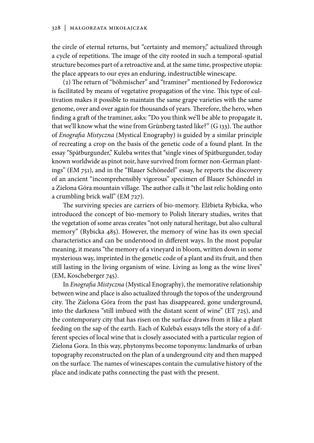#### 328 | Małgorzata Mikołajczak

the circle of eternal returns, but "certainty and memory," actualized through a cycle of repetitions. The image of the city rooted in such a temporal-spatial structure becomes part of a retroactive and, at the same time, prospective utopia: the place appears to our eyes an enduring, indestructible winescape.

(2) The return of "böhmischer" and "traminer" mentioned by Fedorowicz is facilitated by means of vegetative propagation of the vine. This type of cultivation makes it possible to maintain the same grape varieties with the same genome, over and over again for thousands of years. Therefore, the hero, when finding a graft of the traminer, asks: "Do you think we'll be able to propagate it, that we'll know what the wine from Grünberg tasted like?" (G 133). The author of *Enografia Mistyczna* (Mystical Enography) is guided by a similar principle of recreating a crop on the basis of the genetic code of a found plant. In the essay "Spätburgunder," Kuleba writes that "single vines of Spätburgunder, today known worldwide as pinot noir, have survived from former non-German plantings" (EM 751), and in the "Blauer Schönedel" essay, he reports the discovery of an ancient "incomprehensibly vigorous" specimen of Blauer Schönedel in a Zielona Góra mountain village. The author calls it "the last relic holding onto a crumbling brick wall" (EM 727).

The surviving species are carriers of bio-memory. Elżbieta Rybicka, who introduced the concept of bio-memory to Polish literary studies, writes that the vegetation of some areas creates "not only natural heritage, but also cultural memory" (Rybicka 485). However, the memory of wine has its own special characteristics and can be understood in different ways. In the most popular meaning, it means "the memory of a vineyard in bloom, written down in some mysterious way, imprinted in the genetic code of a plant and its fruit, and then still lasting in the living organism of wine. Living as long as the wine lives" (EM, Koscheberger 745).

In *Enografia Mistyczna* (Mystical Enography), the memorative relationship between wine and place is also actualized through the topos of the underground city. The Zielona Góra from the past has disappeared, gone underground, into the darkness "still imbued with the distant scent of wine" (ET 725), and the contemporary city that has risen on the surface draws from it like a plant feeding on the sap of the earth. Each of Kuleba's essays tells the story of a different species of local wine that is closely associated with a particular region of Zielona Gora. In this way, phytonyms become toponyms: landmarks of urban topography reconstructed on the plan of a underground city and then mapped on the surface. The names of winescapes contain the cumulative history of the place and indicate paths connecting the past with the present.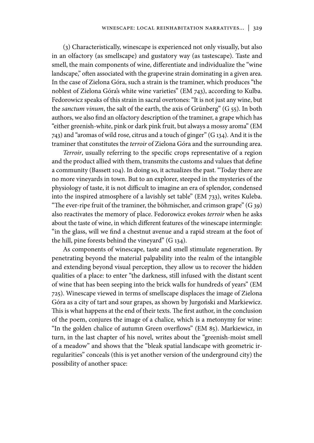(3) Characteristically, winescape is experienced not only visually, but also in an olfactory (as smellscape) and gustatory way (as tastescape). Taste and smell, the main components of wine, differentiate and individualize the "wine landscape," often associated with the grapevine strain dominating in a given area. In the case of Zielona Góra, such a strain is the traminer, which produces "the noblest of Zielona Góra's white wine varieties" (EM 743), according to Kulba. Fedorowicz speaks of this strain in sacral overtones: "It is not just any wine, but the *sanctum vinum*, the salt of the earth, the axis of Grünberg" (G 55). In both authors, we also find an olfactory description of the traminer, a grape which has "either greenish-white, pink or dark pink fruit, but always a mossy aroma" (EM 743) and "aromas of wild rose, citrus and a touch of ginger" (G 134). And it is the traminer that constitutes the *terroir* of Zielona Góra and the surrounding area.

*Terroir*, usually referring to the specific crops representative of a region and the product allied with them, transmits the customs and values that define a community (Bassett 104). In doing so, it actualizes the past. "Today there are no more vineyards in town. But to an explorer, steeped in the mysteries of the physiology of taste, it is not difficult to imagine an era of splendor, condensed into the inspired atmosphere of a lavishly set table" (EM 733), writes Kuleba. "The ever-ripe fruit of the traminer, the böhmischer, and crimson grape"  $(G_{39})$ also reactivates the memory of place. Fedorowicz evokes *terroir* when he asks about the taste of wine, in which different features of the winescape intermingle: "in the glass, will we find a chestnut avenue and a rapid stream at the foot of the hill, pine forests behind the vineyard" (G 134).

As components of winescape, taste and smell stimulate regeneration. By penetrating beyond the material palpability into the realm of the intangible and extending beyond visual perception, they allow us to recover the hidden qualities of a place: to enter "the darkness, still infused with the distant scent of wine that has been seeping into the brick walls for hundreds of years" (EM 725). Winescape viewed in terms of smellscape displaces the image of Zielona Góra as a city of tart and sour grapes, as shown by Jurgoński and Markiewicz. This is what happens at the end of their texts. The first author, in the conclusion of the poem, conjures the image of a chalice, which is a metonymy for wine: "In the golden chalice of autumn Green overflows" (EM 85). Markiewicz, in turn, in the last chapter of his novel, writes about the "greenish-moist smell of a meadow" and shows that the "bleak spatial landscape with geometric irregularities" conceals (this is yet another version of the underground city) the possibility of another space: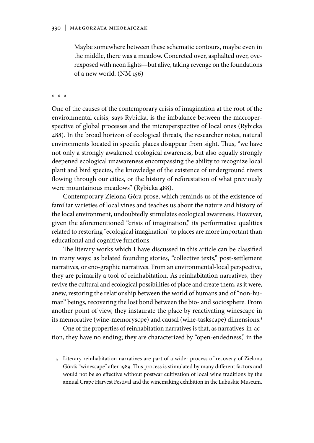Maybe somewhere between these schematic contours, maybe even in the middle, there was a meadow. Concreted over, asphalted over, overexposed with neon lights—but alive, taking revenge on the foundations of a new world. (NM 156)

**\* \* \***

One of the causes of the contemporary crisis of imagination at the root of the environmental crisis, says Rybicka, is the imbalance between the macroperspective of global processes and the microperspective of local ones (Rybicka 488). In the broad horizon of ecological threats, the researcher notes, natural environments located in specific places disappear from sight. Thus, "we have not only a strongly awakened ecological awareness, but also equally strongly deepened ecological unawareness encompassing the ability to recognize local plant and bird species, the knowledge of the existence of underground rivers flowing through our cities, or the history of reforestation of what previously were mountainous meadows" (Rybicka 488).

Contemporary Zielona Góra prose, which reminds us of the existence of familiar varieties of local vines and teaches us about the nature and history of the local environment, undoubtedly stimulates ecological awareness. However, given the aforementioned "crisis of imagination," its performative qualities related to restoring "ecological imagination" to places are more important than educational and cognitive functions.

The literary works which I have discussed in this article can be classified in many ways: as belated founding stories, "collective texts," post-settlement narratives, or eno-graphic narratives. From an environmental-local perspective, they are primarily a tool of reinhabitation. As reinhabitation narratives, they revive the cultural and ecological possibilities of place and create them, as it were, anew, restoring the relationship between the world of humans and of "non-human" beings, recovering the lost bond between the bio- and sociosphere. From another point of view, they instaurate the place by reactivating winescape in its memorative (wine-memoryscpe) and causal (wine-taskscape) dimensions.5

One of the properties of reinhabitation narratives is that, as narratives-in-action, they have no ending; they are characterized by "open-endedness," in the

5 Literary reinhabitation narratives are part of a wider process of recovery of Zielona Góra's "winescape" after 1989. This process is stimulated by many different factors and would not be so effective without postwar cultivation of local wine traditions by the annual Grape Harvest Festival and the winemaking exhibition in the Lubuskie Museum.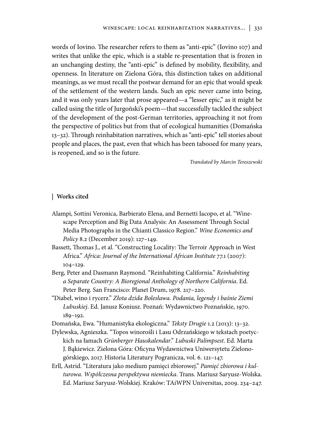words of Iovino. The researcher refers to them as "anti-epic" (Iovino 107) and writes that unlike the epic, which is a stable re-presentation that is frozen in an unchanging destiny, the "anti-epic" is defined by mobility, flexibility, and openness. In literature on Zielona Góra, this distinction takes on additional meanings, as we must recall the postwar demand for an epic that would speak of the settlement of the western lands. Such an epic never came into being, and it was only years later that prose appeared—a "lesser epic," as it might be called using the title of Jurgoński's poem—that successfully tackled the subject of the development of the post-German territories, approaching it not from the perspective of politics but from that of ecological humanities (Domańska 13–32). Through reinhabitation narratives, which as "anti-epic" tell stories about people and places, the past, even that which has been tabooed for many years, is reopened, and so is the future.

*Translated by Marcin Tereszewski*

#### **| Works cited**

- Alampi, Sottini Veronica, Barbierato Elena, and Bernetti Iacopo, et al. "Winescape Perception and Big Data Analysis: An Assessment Through Social Media Photographs in the Chianti Classico Region." *Wine Economics and Policy* 8.2 (December 2019): 127–149.
- Bassett, Thomas J., et al. "Constructing Locality: The Terroir Approach in West Africa." *Africa: Journal of the International African Institute* 77.1 (2007): 104–129.
- Berg, Peter and Dasmann Raymond. "Reinhabiting California." *Reinhabiting a Separate Country: A Bioregional Anthology of Northern California*. Ed. Peter Berg. San Francisco: Planet Drum, 1978. 217–220.
- "Diabeł, wino i rycerz." *Złota dzida Bolesława. Podania, legendy i baśnie Ziemi Lubuskiej*. Ed. Janusz Koniusz. Poznań: Wydawnictwo Poznańskie, 1970. 189–192.
- Domańska, Ewa. "Humanistyka ekologiczna." *Teksty Drugie* 1.2 (2013): 13–32.
- Dylewska, Agnieszka. "Topos winorośli i Lasu Odrzańskiego w tekstach poetyckich na łamach *Grünberger Hauskalendar*." *Lubuski Palimpsest*. Ed. Marta J. Bąkiewicz. Zielona Góra: Oficyna Wydawnictwa Uniwersytetu Zielonogórskiego, 2017. Historia Literatury Pogranicza, vol. 6. 121–147.
- Erll, Astrid. "Literatura jako medium pamięci zbiorowej." *Pamięć zbiorowa i kulturowa. Współczesna perspektywa niemiecka*. Trans. Mariusz Saryusz-Wolska. Ed. Mariusz Saryusz-Wolskiej. Kraków: TAiWPN Universitas, 2009. 234–247.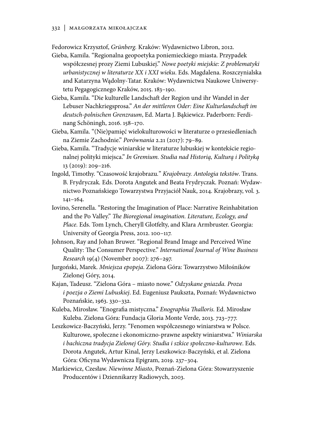Fedorowicz Krzysztof, *Grünberg.* Kraków: Wydawnictwo Libron, 2012.

- Gieba, Kamila. "Regionalna geopoetyka poniemieckiego miasta. Przypadek współczesnej prozy Ziemi Lubuskiej." *Nowe poetyki miejskie: Z problematyki urbanistycznej w literaturze XX i XXI wieku*. Eds. Magdalena. Roszczynialska and Katarzyna Wądolny-Tatar. Kraków: Wydawnictwa Naukowe Uniwersytetu Pegagogicznego Kraków, 2015. 183–190.
- Gieba, Kamila. "Die kulturelle Landschaft der Region und ihr Wandel in der Lebuser Nachkriegsprosa." *An der mittleren Oder: Eine Kulturlandschaft im deutsch-polnischen Grenzraum*, Ed. Marta J. Bąkiewicz. Paderborn: Ferdinang Schöningh, 2016. 158–170.
- Gieba, Kamila. "(Nie)pamięć wielokulturowości w literaturze o przesiedleniach na Ziemie Zachodnie." *Porównania* 2.21 (2017): 79–89.
- Gieba, Kamila. "Tradycje winiarskie w literaturze lubuskiej w kontekście regionalnej polityki miejsca." *In Gremium. Studia nad Historią, Kulturą i Polityką* 13 (2019): 209–216.
- Ingold, Timothy. "Czasowość krajobrazu*.*" *Krajobrazy. Antologia tekstów*. Trans. B. Frydryczak*.* Eds. Dorota Angutek and Beata Frydryczak. Poznań: Wydawnictwo Poznańskiego Towarzystwa Przyjaciół Nauk, 2014. Krajobrazy, vol. 3. 141–164.
- Iovino, Serenella. "Restoring the Imagination of Place: Narrative Reinhabitation and the Po Valley." *The Bioregional imagination. Literature, Ecology, and Place.* Eds. Tom Lynch, Cheryll Glotfelty, and Klara Armbruster. Georgia: University of Georgia Press, 2012. 100–117.
- Johnson, Ray and Johan Bruwer. "Regional Brand Image and Perceived Wine Quality: The Consumer Perspective." *International Journal of Wine Business Research* 19(4) (November 2007): 276–297.
- Jurgoński, Marek. *Mniejsza epopeja*. Zielona Góra: Towarzystwo Miłośników Zielonej Góry, 2014.
- Kajan, Tadeusz. "Zielona Góra miasto nowe." *Odzyskane gniazda. Proza i poezja o Ziemi Lubuskiej*. Ed. Eugeniusz Paukszta, Poznań: Wydawnictwo Poznańskie, 1963. 330–332.
- Kuleba, Mirosław. "Enografia mistyczna." *Enographia Thalloris.* Ed. Mirosław Kuleba. Zielona Góra: Fundacja Gloria Monte Verde, 2013. 723–777.
- Leszkowicz-Baczyński, Jerzy. "Fenomen współczesnego winiarstwa w Polsce. Kulturowe, społeczne i ekonomiczno-prawne aspekty winiarstwa." *Winiarska i bachiczna tradycja Zielonej Góry. Studia i szkice społeczno-kulturowe*. Eds. Dorota Angutek, Artur Kinal, Jerzy Leszkowicz-Baczyński, et al. Zielona Góra: Oficyna Wydawnicza Epigram, 2019. 237–304.
- Markiewicz, Czesław. *Niewinne Miasto*, Poznań-Zielona Góra: Stowarzyszenie Producentów i Dziennikarzy Radiowych, 2003.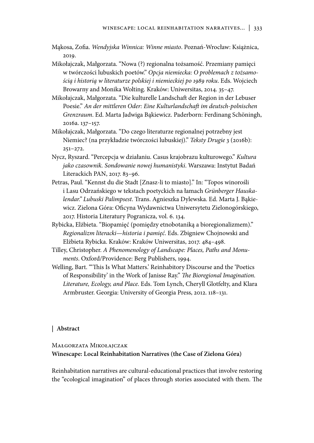- Mąkosa, Zofia. *Wendyjska Winnica: Winne miasto*. Poznań-Wrocław: Książnica, 2019.
- Mikołajczak, Małgorzata. "Nowa (?) regionalna tożsamość. Przemiany pamięci w twórczości lubuskich poetów." *Opcja niemiecka: O problemach z tożsamością i historią w literaturze polskiej i niemieckiej po 1989 roku*. Eds. Wojciech Browarny and Monika Wolting. Kraków: Uniwersitas, 2014. 35–47.
- Mikołajczak, Małgorzata. "Die kulturelle Landschaft der Region in der Lebuser Poesie." *An der mittleren Oder: Eine Kulturlandschaft im deutsch-polnischen Grenzraum*. Ed. Marta Jadwiga Bąkiewicz. Paderborn: Ferdinang Schöningh, 2016a. 137–157.
- Mikołajczak, Małgorzata. "Do czego literaturze regionalnej potrzebny jest Niemiec? (na przykładzie twórczości lubuskiej)." *Teksty Drugie* 3 (2016b): 251–272.
- Nycz, Ryszard. "Percepcja w działaniu. Casus krajobrazu kulturowego." *Kultura jako czasownik. Sondowanie nowej humanistyki*. Warszawa: Instytut Badań Literackich PAN, 2017. 83–96.
- Petras, Paul. "Kennst du die Stadt [Znasz-li to miasto]." In: "Topos winorośli i Lasu Odrzańskiego w tekstach poetyckich na łamach *Grünberger Hauskalendar." Lubuski Palimpsest*. Trans. Agnieszka Dylewska. Ed. Marta J. Bąkiewicz. Zielona Góra: Oficyna Wydawnictwa Uniwersytetu Zielonogórskiego, 2017. Historia Literatury Pogranicza, vol. 6. 134.
- Rybicka, Elżbieta. "Biopamięć (pomiędzy etnobotaniką a bioregionalizmem)." *Regionalizm literacki*—*historia i pamięć*. Eds. Zbigniew Chojnowski and Elżbieta Rybicka. Kraków: Kraków Uniwersitas, 2017. 484–498.
- Tilley, Christopher. *A Phenomenology of Landscape: Places, Paths and Monuments*. Oxford/Providence: Berg Publishers, 1994.
- Welling, Bart. "'This Is What Matters.' Reinhabitory Discourse and the 'Poetics of Responsibility' in the Work of Janisse Ray." *The Bioregional Imagination. Literature, Ecology, and Place*. Eds. Tom Lynch, Cheryll Glotfelty, and Klara Armbruster. Georgia: University of Georgia Press, 2012. 118–131.

### **| Abstract**

# Małgorzata Mikołajczak **Winescape: Local Reinhabitation Narratives (the Case of Zielona Góra)**

Reinhabitation narratives are cultural-educational practices that involve restoring the "ecological imagination" of places through stories associated with them. The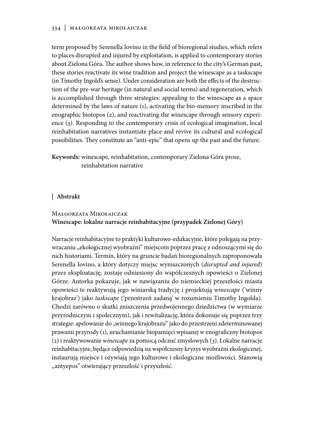### 334 | Małgorzata Mikołajczak

term proposed by Serenella Iovino in the field of bioregional studies, which refers to places disrupted and injured by exploitation, is applied to contemporary stories about Zielona Góra. The author shows how, in reference to the city's German past, these stories reactivate its wine tradition and project the winescape as a taskscape (in Timothy Ingold's sense). Under consideration are both the effects of the destruction of the pre-war heritage (in natural and social terms) and regeneration, which is accomplished through three strategies: appealing to the winescape as a space determined by the laws of nature (1), activating the bio-memory inscribed in the enographic biotopos (2), and reactivating the winescape through sensory experience (3). Responding to the contemporary crisis of ecological imagination, local reinhabitation narratives instantiate place and revive its cultural and ecological possibilities. They constitute an "anti-epic" that opens up the past and the future.

**Keywords:** winescape, reinhabitation, contemporary Zielona Góra prose, reinhabitation narrative

### **| Abstrakt**

# Małgorzata Mikołajczak **Winescape: lokalne narracje reinhabitacyjne (przypadek Zielonej Góry)**

Narracje reinhabitacyjne to praktyki kulturowo-edukacyjne, które polegają na przywracaniu "ekologicznej wyobraźni" miejscom poprzez pracę z odnoszącymi się do nich historiami. Termin, który na gruncie badań bioregionalnych zaproponowała Serenella Iovino, a który dotyczy miejsc wyniszczonych (*disrupted and injured*) przez eksploatację, zostaje odniesiony do współczesnych opowieści o Zielonej Górze. Autorka pokazuje, jak w nawiązaniu do niemieckiej przeszłości miasta opowieści te reaktywują jego winiarską tradycję i projektują *winescape* ('winny krajobraz') jako *taskscape* ('przestrzeń zadaną' w rozumieniu Timothy Ingolda). Chodzi zarówno o skutki zniszczenia przedwojennego dziedzictwa (w wymiarze przyrodniczym i społecznym), jak i rewitalizację, która dokonuje się poprzez trzy strategie: apelowanie do "winnego krajobrazu" jako do przestrzeni zdeterminowanej prawami przyrody (1), uruchamianie biopamięci wpisanej w enograficzny biotopos (2) i reaktywowanie *winescape* za pomocą odczuć zmysłowych (3). Lokalne narracje reinhabitacyjne, będące odpowiedzią na współczesny kryzys wyobraźni ekologicznej, instaurują miejsce i ożywiają jego kulturowe i ekologiczne możliwości. Stanowią "antyepos" otwierający przeszłość i przyszłość.